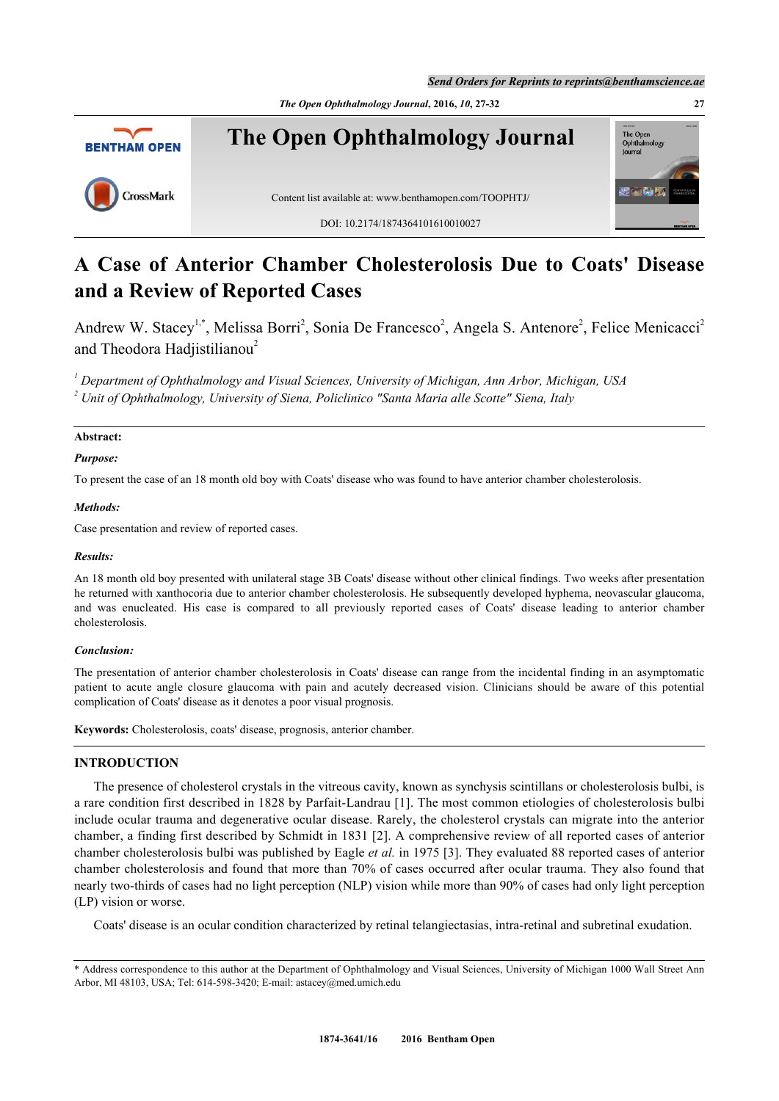*Send Orders for Reprints to reprints@benthamscience.ae*



# **A Case of Anterior Chamber Cholesterolosis Due to Coats' Disease and a Review of Reported Cases**

Andrew W. Stacey<sup>[1](#page-0-0),[\\*](#page-0-1)</sup>, Melissa Borri<sup>[2](#page-0-2)</sup>, Sonia De Francesco<sup>2</sup>, Angela S. Antenore<sup>2</sup>, Felice Menicacci<sup>2</sup> and Theodora Hadjistilianou<sup>[2](#page-0-2)</sup>

<span id="page-0-2"></span><span id="page-0-0"></span>*1 Department of Ophthalmology and Visual Sciences, University of Michigan, Ann Arbor, Michigan, USA 2 Unit of Ophthalmology, University of Siena, Policlinico "Santa Maria alle Scotte" Siena, Italy*

# **Abstract:**

## *Purpose:*

To present the case of an 18 month old boy with Coats' disease who was found to have anterior chamber cholesterolosis.

# *Methods:*

Case presentation and review of reported cases.

## *Results:*

An 18 month old boy presented with unilateral stage 3B Coats' disease without other clinical findings. Two weeks after presentation he returned with xanthocoria due to anterior chamber cholesterolosis. He subsequently developed hyphema, neovascular glaucoma, and was enucleated. His case is compared to all previously reported cases of Coats' disease leading to anterior chamber cholesterolosis.

## *Conclusion:*

The presentation of anterior chamber cholesterolosis in Coats' disease can range from the incidental finding in an asymptomatic patient to acute angle closure glaucoma with pain and acutely decreased vision. Clinicians should be aware of this potential complication of Coats' disease as it denotes a poor visual prognosis.

**Keywords:** Cholesterolosis, coats' disease, prognosis, anterior chamber.

# **INTRODUCTION**

The presence of cholesterol crystals in the vitreous cavity, known as synchysis scintillans or cholesterolosis bulbi, is a rare condition first described in 1828 by Parfait-Landrau [[1](#page-5-0)]. The most common etiologies of cholesterolosis bulbi include ocular trauma and degenerative ocular disease. Rarely, the cholesterol crystals can migrate into the anterior chamber, a finding first described by Schmidt in 1831 [[2](#page-5-1)]. A comprehensive review of all reported cases of anterior chamber cholesterolosis bulbi was published by Eagle *et al.* in 1975 [\[3](#page-5-2)]. They evaluated 88 reported cases of anterior chamber cholesterolosis and found that more than 70% of cases occurred after ocular trauma. They also found that nearly two-thirds of cases had no light perception (NLP) vision while more than 90% of cases had only light perception (LP) vision or worse.

Coats' disease is an ocular condition characterized by retinal telangiectasias, intra-retinal and subretinal exudation.

<span id="page-0-1"></span><sup>\*</sup> Address correspondence to this author at the Department of Ophthalmology and Visual Sciences, University of Michigan 1000 Wall Street Ann Arbor, MI 48103, USA; Tel: 614-598-3420; E-mail: [astacey@med.umich.edu](mailto:astacey@med.umich.edu)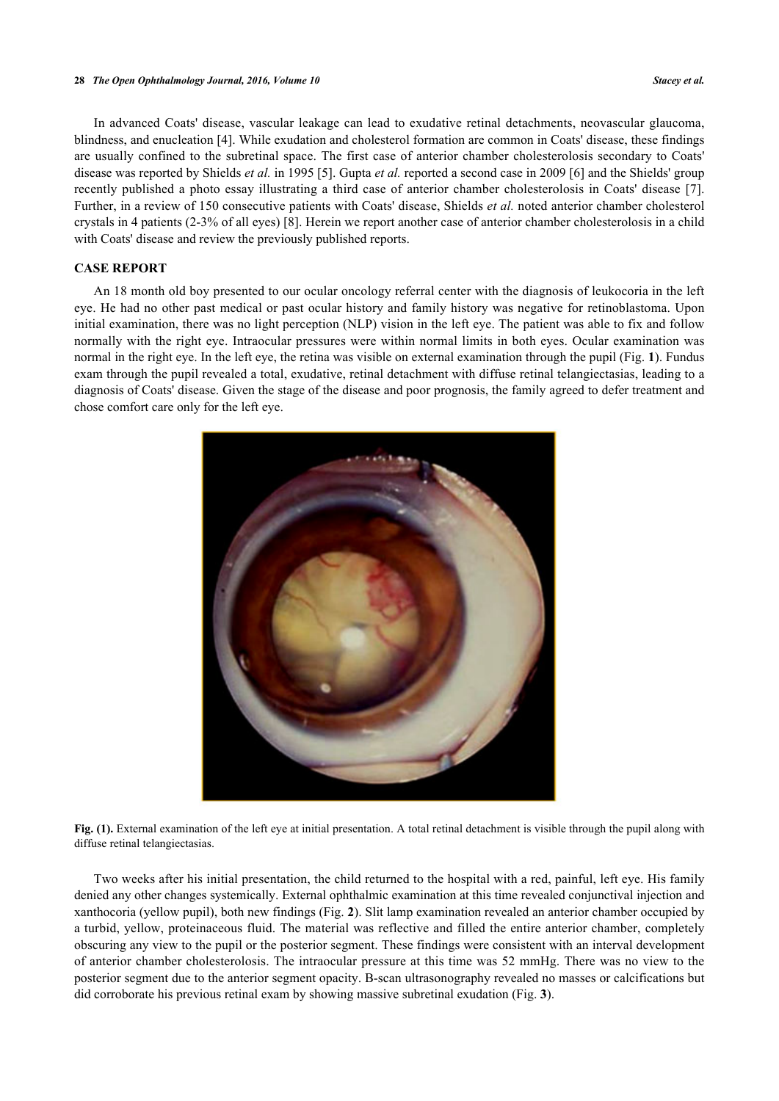In advanced Coats' disease, vascular leakage can lead to exudative retinal detachments, neovascular glaucoma, blindness, and enucleation [\[4](#page-5-3)]. While exudation and cholesterol formation are common in Coats' disease, these findings are usually confined to the subretinal space. The first case of anterior chamber cholesterolosis secondary to Coats' disease was reported by Shields *et al.* in 1995 [[5\]](#page-5-4). Gupta *et al.* reported a second case in 2009 [[6\]](#page-5-5) and the Shields' group recently published a photo essay illustrating a third case of anterior chamber cholesterolosis in Coats' disease [[7\]](#page-5-6). Further, in a review of 150 consecutive patients with Coats' disease, Shields *et al.* noted anterior chamber cholesterol crystals in 4 patients (2-3% of all eyes) [\[8](#page-5-7)]. Herein we report another case of anterior chamber cholesterolosis in a child with Coats' disease and review the previously published reports.

# **CASE REPORT**

<span id="page-1-0"></span>An 18 month old boy presented to our ocular oncology referral center with the diagnosis of leukocoria in the left eye. He had no other past medical or past ocular history and family history was negative for retinoblastoma. Upon initial examination, there was no light perception (NLP) vision in the left eye. The patient was able to fix and follow normally with the right eye. Intraocular pressures were within normal limits in both eyes. Ocular examination was normal in the right eye. In the left eye, the retina was visible on external examination through the pupil (Fig. **[1](#page-1-0)**). Fundus exam through the pupil revealed a total, exudative, retinal detachment with diffuse retinal telangiectasias, leading to a diagnosis of Coats' disease. Given the stage of the disease and poor prognosis, the family agreed to defer treatment and chose comfort care only for the left eye.



**Fig. (1).** External examination of the left eye at initial presentation. A total retinal detachment is visible through the pupil along with diffuse retinal telangiectasias.

Two weeks after his initial presentation, the child returned to the hospital with a red, painful, left eye. His family denied any other changes systemically. External ophthalmic examination at this time revealed conjunctival injection and xanthocoria (yellow pupil), both new findings (Fig. **[2](#page-2-0)**). Slit lamp examination revealed an anterior chamber occupied by a turbid, yellow, proteinaceous fluid. The material was reflective and filled the entire anterior chamber, completely obscuring any view to the pupil or the posterior segment. These findings were consistent with an interval development of anterior chamber cholesterolosis. The intraocular pressure at this time was 52 mmHg. There was no view to the posterior segment due to the anterior segment opacity. B-scan ultrasonography revealed no masses or calcifications but did corroborate his previous retinal exam by showing massive subretinal exudation (Fig. **[3](#page-2-1)**).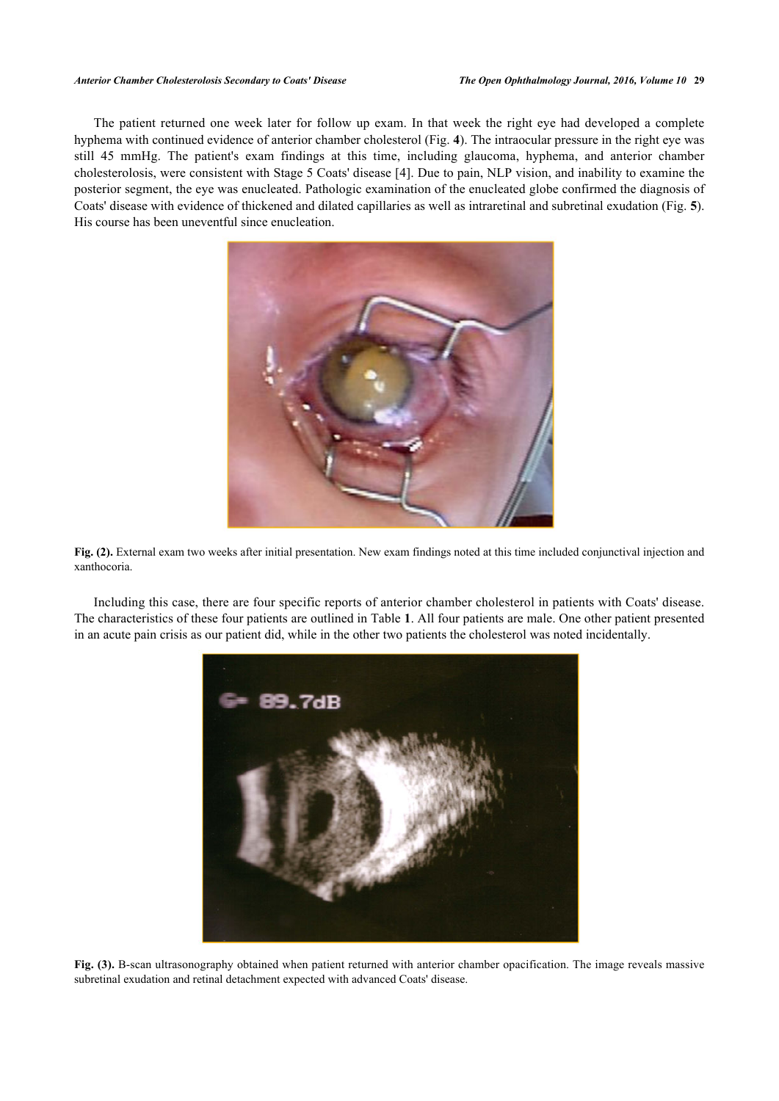#### *Anterior Chamber Cholesterolosis Secondary to Coats' Disease The Open Ophthalmology Journal, 2016, Volume 10* **29**

<span id="page-2-0"></span>The patient returned one week later for follow up exam. In that week the right eye had developed a complete hyphema with continued evidence of anterior chamber cholesterol (Fig. **[4](#page-3-0)**). The intraocular pressure in the right eye was still 45 mmHg. The patient's exam findings at this time, including glaucoma, hyphema, and anterior chamber cholesterolosis, were consistent with Stage 5 Coats' disease [\[4\]](#page-5-3). Due to pain, NLP vision, and inability to examine the posterior segment, the eye was enucleated. Pathologic examination of the enucleated globe confirmed the diagnosis of Coats' disease with evidence of thickened and dilated capillaries as well as intraretinal and subretinal exudation (Fig. **[5](#page-3-1)**). His course has been uneventful since enucleation.





Including this case, there are four specific reports of anterior chamber cholesterol in patients with Coats' disease. The characteristics of these four patients are outlined in Table **[1](#page-4-0)**. All four patients are male. One other patient presented in an acute pain crisis as our patient did, while in the other two patients the cholesterol was noted incidentally.

<span id="page-2-1"></span>

**Fig. (3).** B-scan ultrasonography obtained when patient returned with anterior chamber opacification. The image reveals massive subretinal exudation and retinal detachment expected with advanced Coats' disease.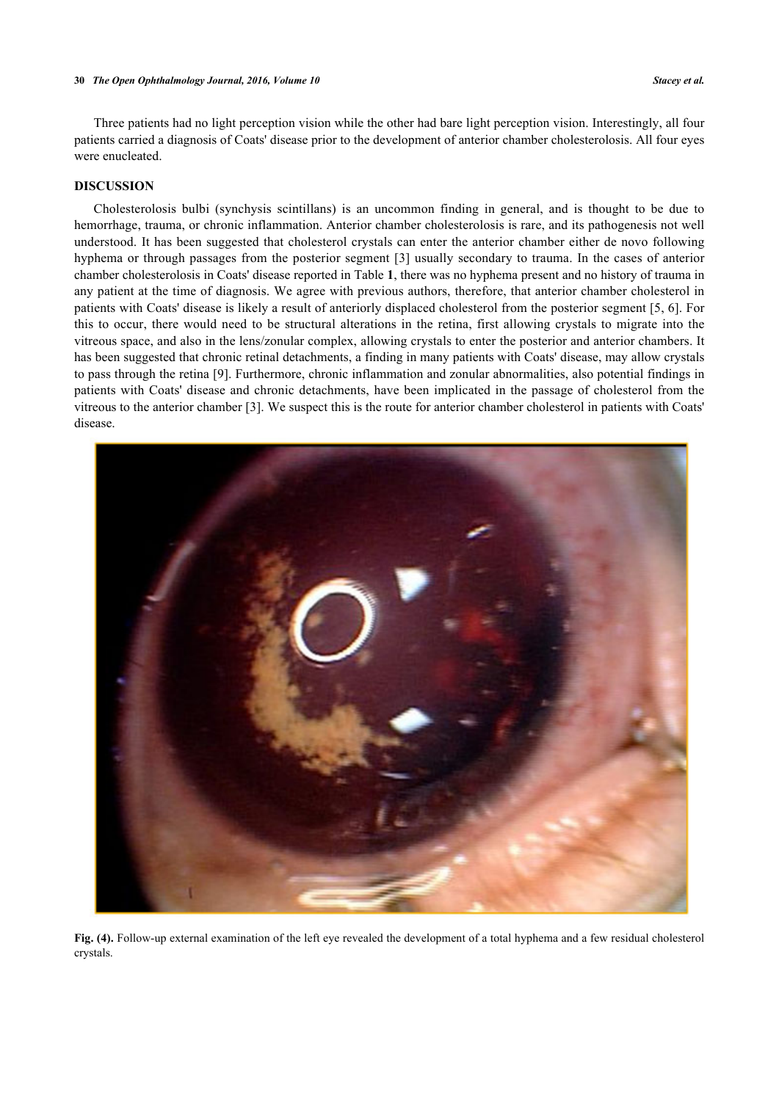Three patients had no light perception vision while the other had bare light perception vision. Interestingly, all four patients carried a diagnosis of Coats' disease prior to the development of anterior chamber cholesterolosis. All four eyes were enucleated.

## **DISCUSSION**

Cholesterolosis bulbi (synchysis scintillans) is an uncommon finding in general, and is thought to be due to hemorrhage, trauma, or chronic inflammation. Anterior chamber cholesterolosis is rare, and its pathogenesis not well understood. It has been suggested that cholesterol crystals can enter the anterior chamber either de novo following hyphema or through passages from the posterior segment [[3](#page-5-2)] usually secondary to trauma. In the cases of anterior chamber cholesterolosis in Coats' disease reported in Table **[1](#page-4-0)**, there was no hyphema present and no history of trauma in any patient at the time of diagnosis. We agree with previous authors, therefore, that anterior chamber cholesterol in patients with Coats' disease is likely a result of anteriorly displaced cholesterol from the posterior segment [\[5](#page-5-4), [6\]](#page-5-5). For this to occur, there would need to be structural alterations in the retina, first allowing crystals to migrate into the vitreous space, and also in the lens/zonular complex, allowing crystals to enter the posterior and anterior chambers. It has been suggested that chronic retinal detachments, a finding in many patients with Coats' disease, may allow crystals to pass through the retina [\[9](#page-5-8)]. Furthermore, chronic inflammation and zonular abnormalities, also potential findings in patients with Coats' disease and chronic detachments, have been implicated in the passage of cholesterol from the vitreous to the anterior chamber [\[3](#page-5-2)]. We suspect this is the route for anterior chamber cholesterol in patients with Coats' disease.

<span id="page-3-1"></span><span id="page-3-0"></span>

**Fig. (4).** Follow-up external examination of the left eye revealed the development of a total hyphema and a few residual cholesterol crystals.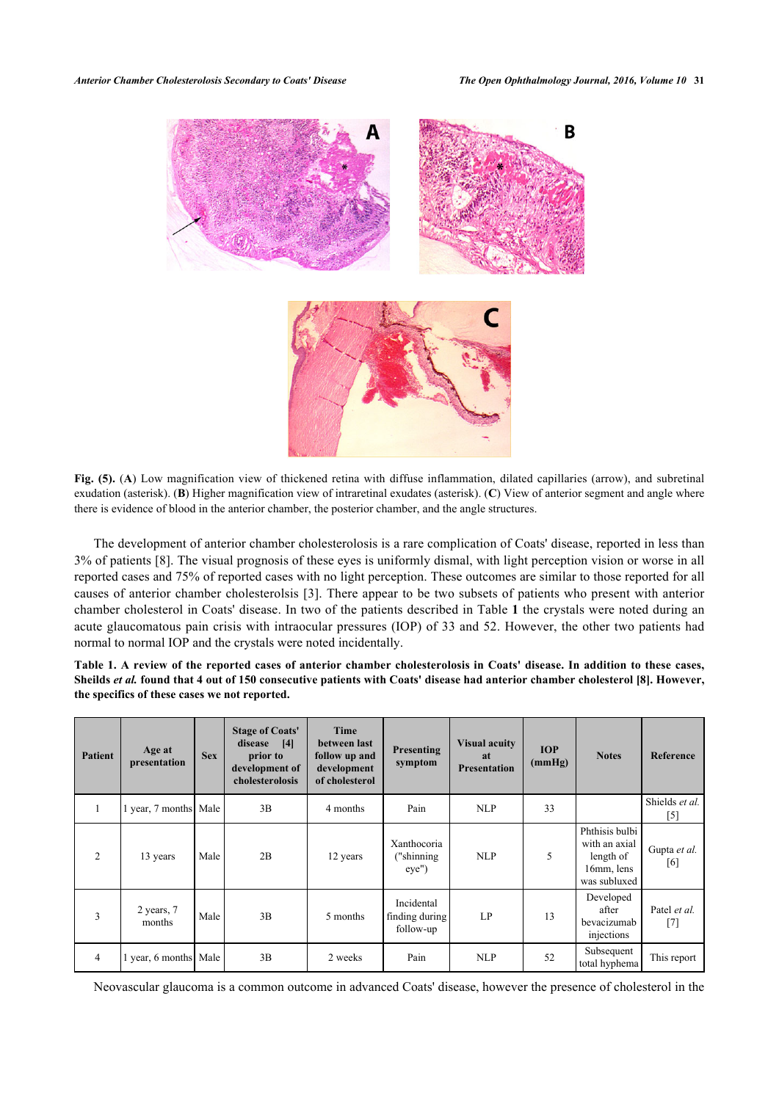

Fig. (5). (A) Low magnification view of thickened retina with diffuse inflammation, dilated capillaries (arrow), and subretinal exudation (asterisk). (**B**) Higher magnification view of intraretinal exudates (asterisk). (**C**) View of anterior segment and angle where there is evidence of blood in the anterior chamber, the posterior chamber, and the angle structures.

The development of anterior chamber cholesterolosis is a rare complication of Coats' disease, reported in less than 3% of patients [[8\]](#page-5-7). The visual prognosis of these eyes is uniformly dismal, with light perception vision or worse in all reported cases and 75% of reported cases with no light perception. These outcomes are similar to those reported for all causes of anterior chamber cholesterolsis [\[3](#page-5-2)]. There appear to be two subsets of patients who present with anterior chamber cholesterol in Coats' disease. In two of the patients described in Table **[1](#page-4-0)** the crystals were noted during an acute glaucomatous pain crisis with intraocular pressures (IOP) of 33 and 52. However, the other two patients had normal to normal IOP and the crystals were noted incidentally.

<span id="page-4-0"></span>

| Table 1. A review of the reported cases of anterior chamber cholesterolosis in Coats' disease. In addition to these cases,            |  |  |  |  |  |
|---------------------------------------------------------------------------------------------------------------------------------------|--|--|--|--|--|
| Sheilds <i>et al.</i> found that 4 out of 150 consecutive patients with Coats' disease had anterior chamber cholesterol [8]. However, |  |  |  |  |  |
| the specifics of these cases we not reported.                                                                                         |  |  |  |  |  |

| <b>Patient</b> | Age at<br>presentation | <b>Sex</b> | <b>Stage of Coats'</b><br>disease<br>[4]<br>prior to<br>development of<br>cholesterolosis | Time<br>between last<br>follow up and<br>development<br>of cholesterol | <b>Presenting</b><br>symptom              | <b>Visual acuity</b><br>at<br><b>Presentation</b> | <b>IOP</b><br>(mmHg) | <b>Notes</b>                                                               | <b>Reference</b>           |
|----------------|------------------------|------------|-------------------------------------------------------------------------------------------|------------------------------------------------------------------------|-------------------------------------------|---------------------------------------------------|----------------------|----------------------------------------------------------------------------|----------------------------|
| $\perp$        | year, 7 months Male    |            | 3B                                                                                        | 4 months                                                               | Pain                                      | <b>NLP</b>                                        | 33                   |                                                                            | Shields et al.<br>$^{[5]}$ |
| 2              | 13 years               | Male       | 2B                                                                                        | 12 years                                                               | Xanthocoria<br>"shinning<br>eye'          | <b>NLP</b>                                        | 5                    | Phthisis bulbi<br>with an axial<br>length of<br>16mm, lens<br>was subluxed | Gupta et al.<br>[6]        |
| 3              | 2 years, 7<br>months   | Male       | 3B                                                                                        | 5 months                                                               | Incidental<br>finding during<br>follow-up | LP                                                | 13                   | Developed<br>after<br>bevacizumab<br>injections                            | Patel et al.<br>[7]        |
| 4              | year, 6 months Male    |            | 3B                                                                                        | 2 weeks                                                                | Pain                                      | <b>NLP</b>                                        | 52                   | Subsequent<br>total hyphema                                                | This report                |

Neovascular glaucoma is a common outcome in advanced Coats' disease, however the presence of cholesterol in the